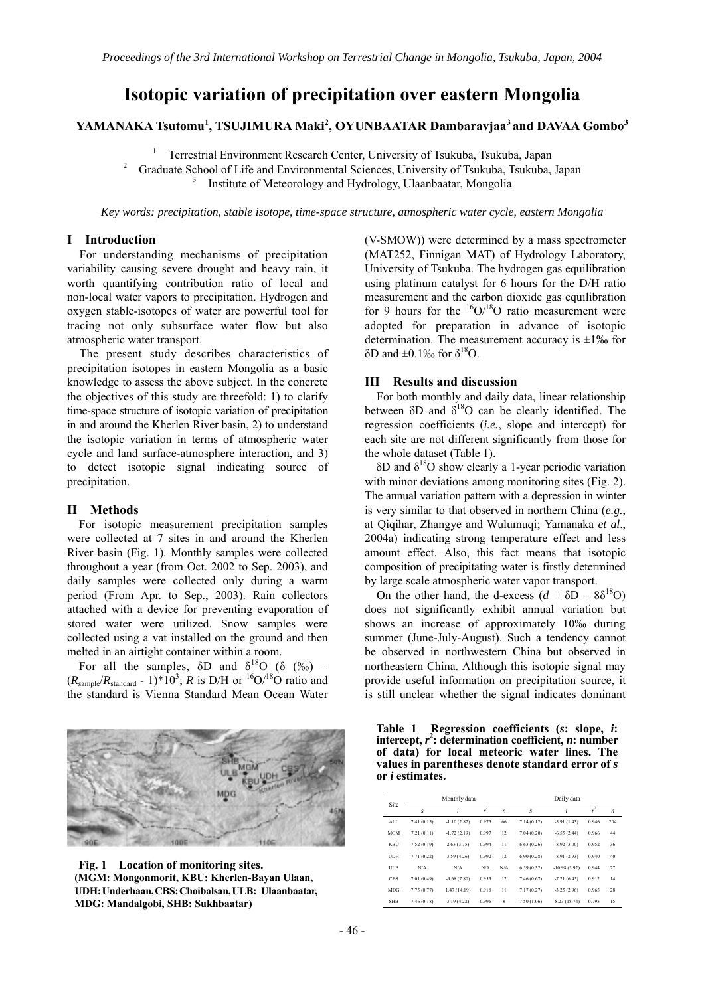# **Isotopic variation of precipitation over eastern Mongolia**

## **YAMANAKA Tsutomu<sup>1</sup> , TSUJIMURA Maki<sup>2</sup> , OYUNBAATAR Dambaravjaa<sup>3</sup> and DAVAA Gombo<sup>3</sup>**

1 Terrestrial Environment Research Center, University of Tsukuba, Tsukuba, Japan 2 Graduate School of Life and Environmental Sciences, University of Tsukuba, Tsukuba, Japan 3 Institute of Meteorology and Hydrology, Ulaanbaatar, Mongolia

*Key words: precipitation, stable isotope, time-space structure, atmospheric water cycle, eastern Mongolia* 

#### **I Introduction**

For understanding mechanisms of precipitation variability causing severe drought and heavy rain, it worth quantifying contribution ratio of local and non-local water vapors to precipitation. Hydrogen and oxygen stable-isotopes of water are powerful tool for tracing not only subsurface water flow but also atmospheric water transport.

The present study describes characteristics of precipitation isotopes in eastern Mongolia as a basic knowledge to assess the above subject. In the concrete the objectives of this study are threefold: 1) to clarify time-space structure of isotopic variation of precipitation in and around the Kherlen River basin, 2) to understand the isotopic variation in terms of atmospheric water cycle and land surface-atmosphere interaction, and 3) to detect isotopic signal indicating source of precipitation.

### **II Methods**

 For isotopic measurement precipitation samples were collected at 7 sites in and around the Kherlen River basin (Fig. 1). Monthly samples were collected throughout a year (from Oct. 2002 to Sep. 2003), and daily samples were collected only during a warm period (From Apr. to Sep., 2003). Rain collectors attached with a device for preventing evaporation of stored water were utilized. Snow samples were collected using a vat installed on the ground and then melted in an airtight container within a room.

For all the samples,  $\delta D$  and  $\delta^{18}O$  ( $\delta$  ( $\%$ <sub>0</sub>) =  $(R_{\text{sample}}/R_{\text{standard}} - 1) * 10^3$ ; *R* is D/H or <sup>16</sup>O/<sup>18</sup>O ratio and the standard is Vienna Standard Mean Ocean Water



**Fig. 1 Location of monitoring sites. (MGM: Mongonmorit, KBU: Kherlen-Bayan Ulaan, UDH:Underhaan,CBS:Choibalsan,ULB: Ulaanbaatar, MDG: Mandalgobi, SHB: Sukhbaatar)** 

(V-SMOW)) were determined by a mass spectrometer (MAT252, Finnigan MAT) of Hydrology Laboratory, University of Tsukuba. The hydrogen gas equilibration using platinum catalyst for 6 hours for the D/H ratio measurement and the carbon dioxide gas equilibration for 9 hours for the  $^{16}O/^{18}O$  ratio measurement were adopted for preparation in advance of isotopic determination. The measurement accuracy is  $\pm 1\%$  for  $δD$  and  $±0.1%$  for  $δ^{18}O$ .

#### **III Results and discussion**

 For both monthly and daily data, linear relationship between  $\delta$ D and  $\delta^{18}$ O can be clearly identified. The regression coefficients (*i.e.*, slope and intercept) for each site are not different significantly from those for the whole dataset (Table 1).

 $δD$  and  $δ<sup>18</sup>O$  show clearly a 1-year periodic variation with minor deviations among monitoring sites (Fig. 2). The annual variation pattern with a depression in winter is very similar to that observed in northern China (*e.g.*, at Qiqihar, Zhangye and Wulumuqi; Yamanaka *et al*., 2004a) indicating strong temperature effect and less amount effect. Also, this fact means that isotopic composition of precipitating water is firstly determined by large scale atmospheric water vapor transport.

On the other hand, the d-excess  $(d = \delta D - 8\delta^{18}O)$ does not significantly exhibit annual variation but shows an increase of approximately 10‰ during summer (June-July-August). Such a tendency cannot be observed in northwestern China but observed in northeastern China. Although this isotopic signal may provide useful information on precipitation source, it is still unclear whether the signal indicates dominant

**Table 1 Regression coefficients (***s***: slope,** *i***: intercept,** *r* **2 : determination coefficient,** *n***: number of data) for local meteoric water lines. The values in parentheses denote standard error of** *s* **or** *i* **estimates.** 

| Site       | Monthly data |               |       |                  | Daily data  |                |       |                  |
|------------|--------------|---------------|-------|------------------|-------------|----------------|-------|------------------|
|            | s            | i             | $r^2$ | $\boldsymbol{n}$ | s           | i              | $r^2$ | $\boldsymbol{n}$ |
| <b>ALL</b> | 7.41(0.15)   | $-1.10(2.82)$ | 0.975 | 66               | 7.14(0.12)  | $-5.91(1.43)$  | 0.946 | 204              |
| <b>MGM</b> | 7.21(0.11)   | $-1.72(2.19)$ | 0.997 | 12               | 7.04(0.20)  | $-6.55(2.44)$  | 0.966 | 44               |
| KBU        | 7.52(0.19)   | 2.65(3.75)    | 0.994 | 11               | 6.63(0.26)  | $-8.92(3.00)$  | 0.952 | 36               |
| <b>UDH</b> | 7.71(0.22)   | 3.59(4.26)    | 0.992 | 12               | 6.90 (0.28) | $-8.91(2.93)$  | 0.940 | 40               |
| <b>ULB</b> | N/A          | N/A           | N/A   | N/A              | 6.59(0.32)  | $-10.98(3.92)$ | 0.944 | 27               |
| <b>CBS</b> | 7.01 (0.49)  | $-9.68(7.80)$ | 0.953 | 12               | 7.46 (0.67) | $-7.21(6.45)$  | 0.912 | 14               |
| <b>MDG</b> | 7.75 (0.77)  | 1.47(14.19)   | 0.918 | 11               | 7.17(0.27)  | $-3.25(2.96)$  | 0.965 | 28               |
| <b>SHB</b> | 7.46 (0.18)  | 3.19(4.22)    | 0.996 | 8                | 7.50 (1.06) | $-8.23(18.74)$ | 0.795 | 15               |